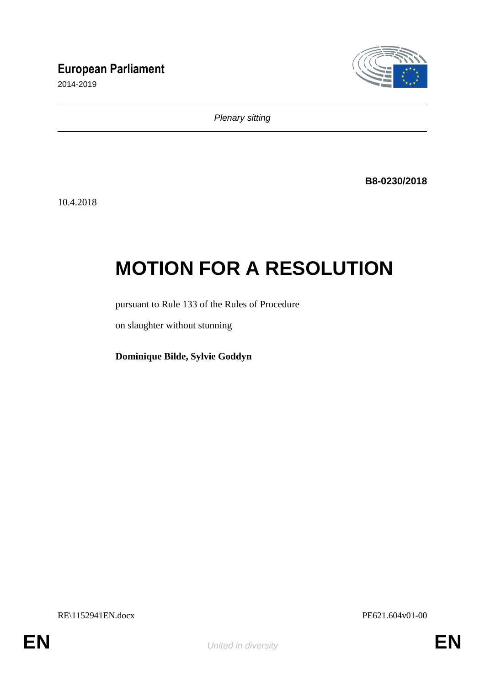# **European Parliament**

2014-2019



*Plenary sitting*

**B8-0230/2018**

10.4.2018

# **MOTION FOR A RESOLUTION**

pursuant to Rule 133 of the Rules of Procedure

on slaughter without stunning

**Dominique Bilde, Sylvie Goddyn**

RE\1152941EN.docx PE621.604v01-00